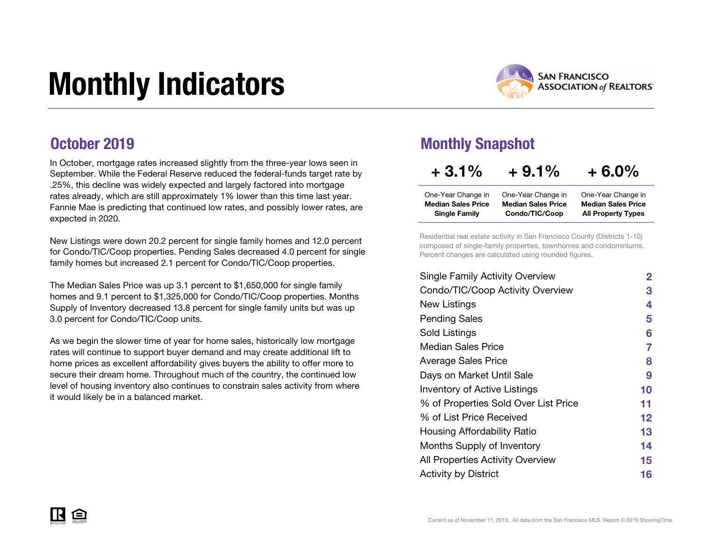# Monthly Indicators



### October 2019

In October, mortgage rates increased slightly from the three-year lows seen in September. While the Federal Reserve reduced the federal-funds target rate by .25%, this decline was widely expected and largely factored into mortgage rates already, which are still approximately 1% lower than this time last year. Fannie Mae is predicting that continued low rates, and possibly lower rates, are expected in 2020.

New Listings were down 20.2 percent for single family homes and 12.0 percent for Condo/TIC/Coop properties. Pending Sales decreased 4.0 percent for single family homes but increased 2.1 percent for Condo/TIC/Coop properties.

The Median Sales Price was up 3.1 percent to \$1,650,000 for single family homes and 9.1 percent to \$1,325,000 for Condo/TIC/Coop properties. Months Supply of Inventory decreased 13.8 percent for single family units but was up 3.0 percent for Condo/TIC/Coop units.

As we begin the slower time of year for home sales, historically low mortgage rates will continue to support buyer demand and may create additional lift to home prices as excellent affordability gives buyers the ability to offer more to secure their dream home. Throughout much of the country, the continued low level of housing inventory also continues to constrain sales activity from where it would likely be in a balanced market.

### Monthly Snapshot

| $+3.1%$                   | $+9.1\%$                  | $+6.0\%$                  |
|---------------------------|---------------------------|---------------------------|
| One-Year Change in        | One-Year Change in        | One-Year Change in        |
| <b>Median Sales Price</b> | <b>Median Sales Price</b> | <b>Median Sales Price</b> |
| <b>Single Family</b>      | Condo/TIC/Coop            | <b>All Property Types</b> |

Residential real estate activity in San Francisco County (Districts 1-10) composed of single-family properties, townhomes and condominiums. Percent changes are calculated using rounded figures.

| $\mathbf{2}$ |
|--------------|
| З            |
| 4            |
| 5            |
| 6            |
| 7            |
| 8            |
| 9            |
| 10           |
| 11           |
| $12 \,$      |
| 13           |
| 14           |
| 15           |
| 16           |
|              |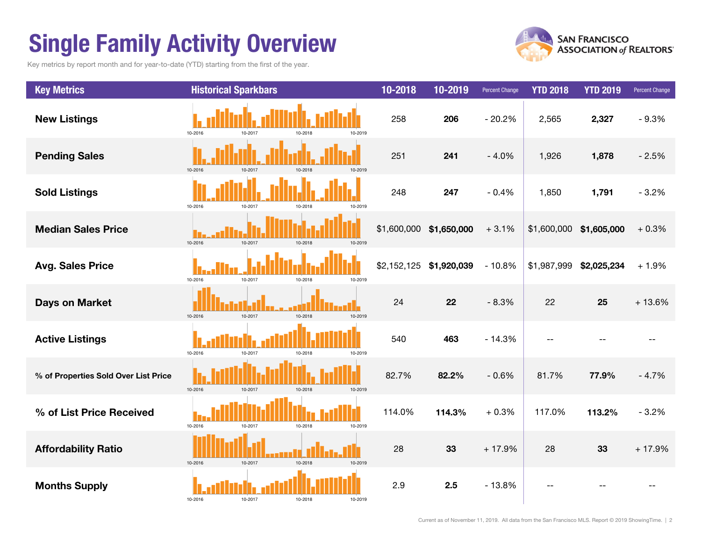## Single Family Activity Overview

Key metrics by report month and for year-to-date (YTD) starting from the first of the year.



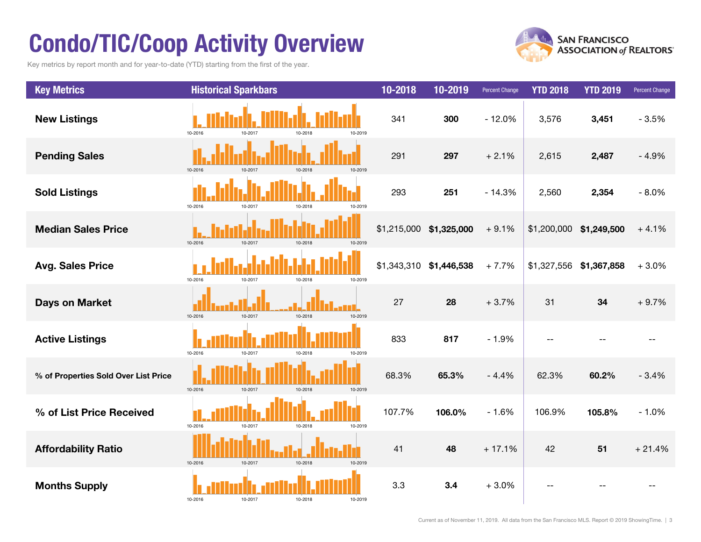## Condo/TIC/Coop Activity Overview

Key metrics by report month and for year-to-date (YTD) starting from the first of the year.



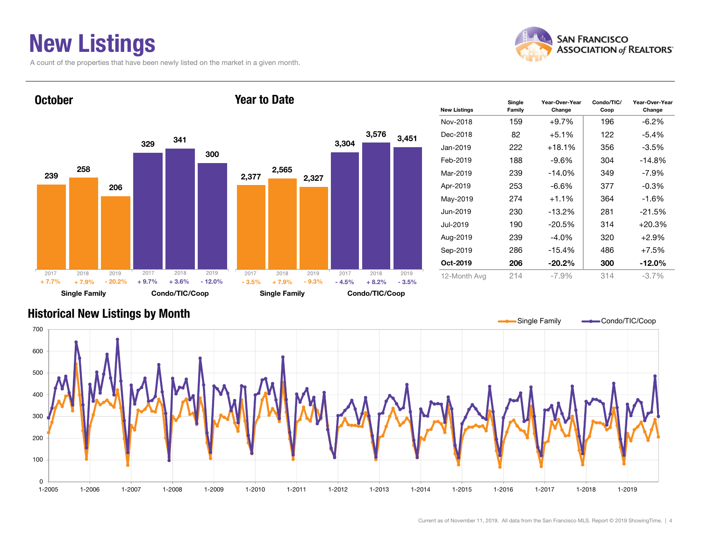## New Listings

A count of the properties that have been newly listed on the market in a given month.



Change



### Historical New Listings by Month

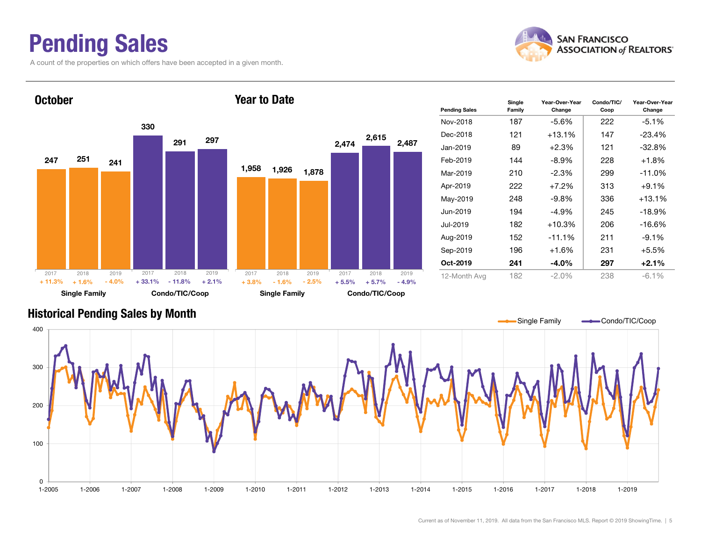## Pending Sales

A count of the properties on which offers have been accepted in a given month.





### Historical Pending Sales by Month

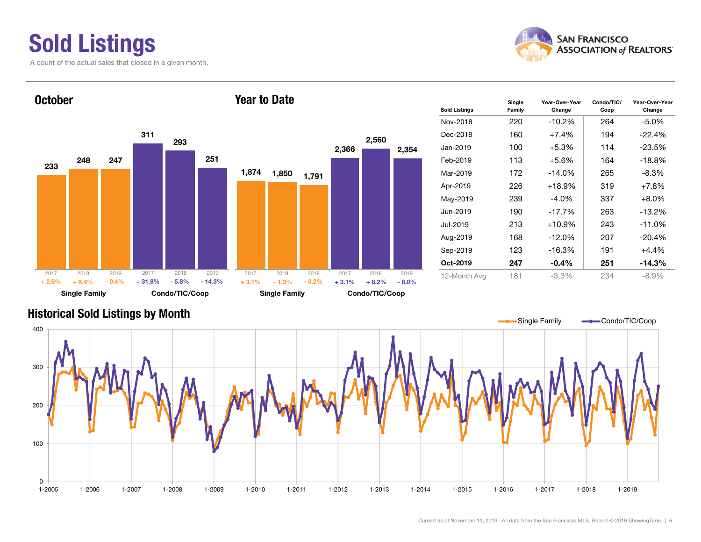### Sold Listings A count of the actual sales that closed in a given month.



#### 233311248293247 251 Single Family Condo/TIC/Coop **October** 1,874 1,850 2,366 2,560 1,791 2,354 Single Family Condo/TIC/Coop Year to Date20172018 2019 + 6.4% $\%$  - 0.4% + 31.8% - 5.8% - 14.3% + 3.1% - 1.3% - 3.2% + 3.1% + 8.2%  $+8.2\% - 8.0\%$ 2017 2018 2019 2017 2018 2019 2017 2018 2019  $+2.6%$  $-0.4\%$   $+31.8\%$   $-5.8\%$   $-14.3\%$   $+3.1\%$  $-1.3\%$   $-3.2\%$   $+3.1\%$

| <b>Sold Listings</b> | Single<br>Family | Year-Over-Year<br>Change | Condo/TIC/<br>Coop | Year-Over-Year<br>Change |
|----------------------|------------------|--------------------------|--------------------|--------------------------|
| Nov-2018             | 220              | $-10.2%$                 | 264                | $-5.0\%$                 |
| Dec-2018             | 160              | $+7.4%$                  | 194                | $-22.4%$                 |
| Jan-2019             | 100              | $+5.3%$<br>114           |                    | $-23.5%$                 |
| Feb-2019             | 113              | $+5.6\%$                 | 164                | $-18.8%$                 |
| Mar-2019             | 172              | $-14.0%$                 | 265                | $-8.3\%$                 |
| Apr-2019             | 226              | $+18.9%$                 | 319                | $+7.8%$                  |
| May-2019             | 239              | $-4.0\%$                 | 337                | $+8.0%$                  |
| Jun-2019             | 190              | $-17.7%$                 | 263                | $-13.2%$                 |
| Jul-2019             | 213              | $+10.9%$                 | 243                | $-11.0%$                 |
| Aug-2019             | 168              | $-12.0%$                 | 207                | $-20.4%$                 |
| Sep-2019             | 123              | $-16.3%$                 | 191                | +4.4%                    |
| Oct-2019             | 247              | $-0.4\%$                 | 251                | -14.3%                   |
| 12-Month Avg         | 181              | $-3.3\%$                 | 234                | $-8.9\%$                 |

### Historical Sold Listings by Month

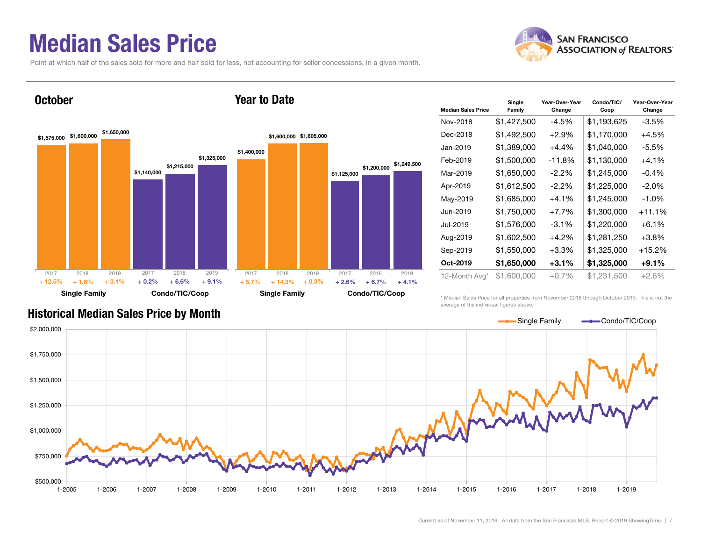## Median Sales Price

Point at which half of the sales sold for more and half sold for less, not accounting for seller concessions, in a given month.

Year to Date



### **October**



| <b>Median Sales Price</b> | Single<br>Family | Year-Over-Year<br>Change | Condo/TIC/<br>Coop | Year-Over-Year<br>Change |
|---------------------------|------------------|--------------------------|--------------------|--------------------------|
| Nov-2018                  | \$1,427,500      | $-4.5\%$                 | \$1,193,625        | $-3.5%$                  |
| Dec-2018                  | \$1,492,500      | $+2.9%$                  | \$1,170,000        | $+4.5%$                  |
| Jan-2019                  | \$1,389,000      | $+4.4\%$                 | \$1,040,000        | -5.5%                    |
| Feb-2019                  | \$1,500,000      | $-11.8%$                 | \$1,130,000        | $+4.1\%$                 |
| Mar-2019                  | \$1,650,000      | $-2.2\%$                 | \$1,245,000        | $-0.4%$                  |
| Apr-2019                  | \$1,612,500      | $-2.2\%$                 | \$1,225,000        | $-2.0%$                  |
| May-2019                  | \$1,685,000      | $+4.1\%$                 | \$1,245,000        | $-1.0\%$                 |
| Jun-2019                  | \$1,750,000      | $+7.7%$                  | \$1,300,000        | $+11.1%$                 |
| Jul-2019                  | \$1,576,000      | $-3.1\%$                 | \$1,220,000        | $+6.1\%$                 |
| Aug-2019                  | \$1,602,500      | $+4.2%$                  | \$1,281,250        | $+3.8%$                  |
| Sep-2019                  | \$1,550,000      | $+3.3%$                  | \$1,325,000        | $+15.2%$                 |
| Oct-2019                  | \$1,650,000      | $+3.1%$                  | \$1,325,000        | $+9.1%$                  |
| 12-Month Avg*             | \$1,600,000      | $+0.7%$                  | \$1,231,500        | $+2.6%$                  |

### Historical Median Sales Price by Month

\* Median Sales Price for all properties from November 2018 through October 2019. This is not the average of the individual figures above.



Current as of November 11, 2019. All data from the San Francisco MLS. Report © 2019 ShowingTime. | 7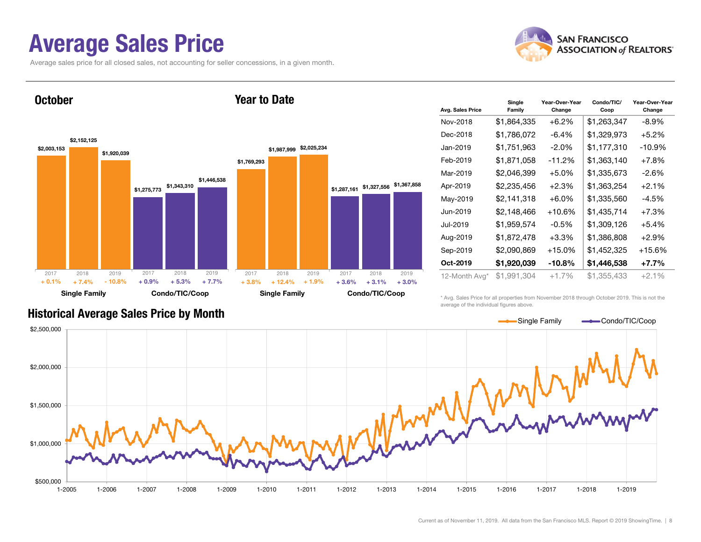## Average Sales Price

Average sales price for all closed sales, not accounting for seller concessions, in a given month.



**October** 



Year to Date

#### Avg. Sales Price Single Family Year-Over-Year Change Condo/TIC/ Coop Year-Over-Year Change Nov-2018 $$1,864,335$   $+6.2\%$   $$1,263,347$   $-8.9\%$ Dec-2018 $$1,786,072$   $-6.4\%$   $$1,329,973$   $+5.2\%$ Jan-2019 $$1,751,963$   $-2.0\%$   $$1,177,310$   $-10.9\%$ Feb-2019 $$1.871.058$  -11.2%  $$1.363.140$  +7.8% Mar-2019 $$2.046.399$   $+5.0\%$   $$1.335.673$   $-2.6\%$ Apr-2019 \$2,235,456 +2.3% \$1,363,254 +2.1% May-2019  $$2,141,318$   $+6.0\%$  \$1,335,560  $-4.5\%$ Jun-2019 $$2,148,466$  +10.6%  $$1,435,714$  +7.3% Jul-2019 $$1,959,574$  -0.5%  $$1,309,126$  +5.4% Aug-2019  $$1,872,478$   $+3.3\%$   $$1,386,808$   $+2.9\%$ Sep-2019 \$2,090,869 +15.0% \$1,452,325 +15.6% Oct-2019 $$1.920.039$   $-10.8\%$   $$1.446.538$   $+7.7\%$ 12-Month Avg\* \$1,991,304 +1.7% \$1,355,433 +2.1%

\* Avg. Sales Price for all properties from November 2018 through October 2019. This is not the average of the individual figures above.



### Historical Average Sales Price by Month

Current as of November 11, 2019. All data from the San Francisco MLS. Report © 2019 ShowingTime. | 8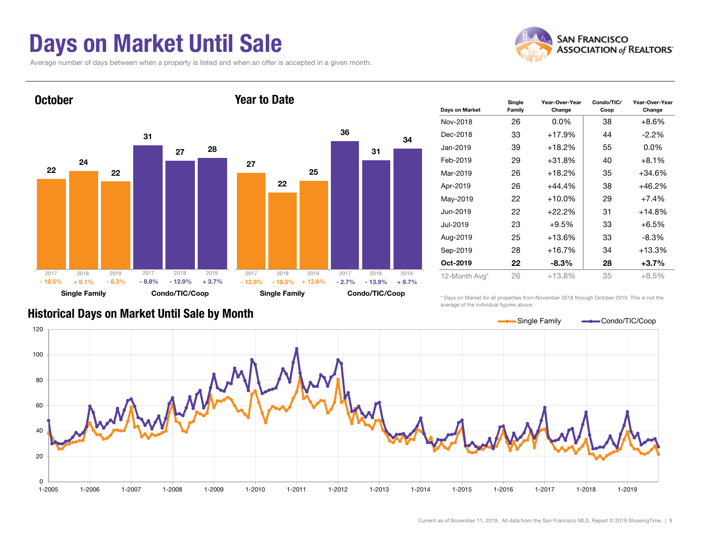## Days on Market Until Sale

Average number of days between when a property is listed and when an offer is accepted in a given month.





| Days on Market | Single<br>Family | Year-Over-Year<br>Change | Condo/TIC/<br>Coop | Year-Over-Year<br>Change |
|----------------|------------------|--------------------------|--------------------|--------------------------|
| Nov-2018       | 26               | $0.0\%$                  | 38                 | $+8.6%$                  |
| Dec-2018       | 33               | +17.9%                   | 44                 | $-2.2%$                  |
| Jan-2019       | 39               | $+18.2%$                 | 55                 | $0.0\%$                  |
| Feb-2019       | 29               | $+31.8%$                 | 40                 | $+8.1%$                  |
| Mar-2019       | 26               | $+18.2%$                 | 35                 | $+34.6%$                 |
| Apr-2019       | 26               | $+44.4%$                 | 38                 | $+46.2%$                 |
| May-2019       | 22               | $+10.0%$                 | 29                 | $+7.4%$                  |
| Jun-2019       | 22               | $+22.2%$                 | 31                 | $+14.8%$                 |
| Jul-2019       | 23               | $+9.5%$                  | 33                 | $+6.5%$                  |
| Aug-2019       | 25               | +13.6%                   | 33                 | $-8.3\%$                 |
| Sep-2019       | 28               | +16.7%                   | 34                 | $+13.3%$                 |
| Oct-2019       | 22               | $-8.3%$                  | 28                 | $+3.7%$                  |
| 12-Month Avg*  | 26               | $+13.8%$                 | 35                 | $+8.5%$                  |

\* Days on Market for all properties from November 2018 through October 2019. This is not the average of the individual figures above.



### Historical Days on Market Until Sale by Month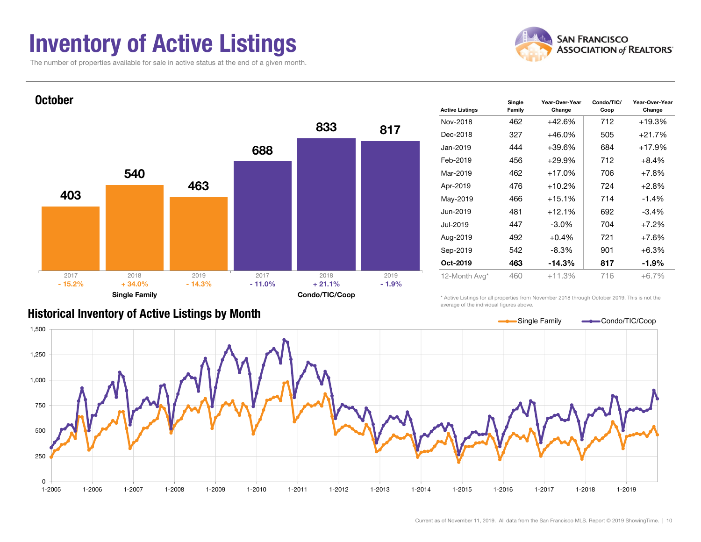## Inventory of Active Listings

The number of properties available for sale in active status at the end of a given month.





| <b>Active Listings</b> | Single<br>Family | Year-Over-Year<br>Change | Condo/TIC/<br>Coop | Year-Over-Year<br>Change |  |
|------------------------|------------------|--------------------------|--------------------|--------------------------|--|
| Nov-2018               | 462              | $+42.6%$                 | 712                | $+19.3%$                 |  |
| Dec-2018               | 327              | $+46.0%$                 | 505                | $+21.7%$                 |  |
| Jan-2019               | 444              | $+39.6%$                 | 684                | $+17.9%$                 |  |
| Feb-2019               | 456              | $+29.9%$                 | 712                | $+8.4%$                  |  |
| Mar-2019               | 462              | $+17.0%$                 | 706                | $+7.8%$                  |  |
| Apr-2019               | 476              | $+10.2%$                 | 724                | $+2.8%$                  |  |
| May-2019               | 466              | $+15.1%$                 | 714                | $-1.4%$                  |  |
| Jun-2019               | 481              | $+12.1%$                 | 692                | $-3.4%$                  |  |
| Jul-2019               | 447              | $-3.0%$                  | 704                | $+7.2%$                  |  |
| Aug-2019               | 492              | $+0.4%$                  | 721                | $+7.6%$                  |  |
| Sep-2019               | 542              | $-8.3%$                  | 901                | $+6.3%$                  |  |
| Oct-2019               | 463              | $-14.3%$                 | 817                | -1.9%                    |  |
| 12-Month Avg*          | 460              | $+11.3%$                 | 716                | $+6.7%$                  |  |
|                        |                  |                          |                    |                          |  |

### Historical Inventory of Active Listings by Month

\* Active Listings for all properties from November 2018 through October 2019. This is not the average of the individual figures above.

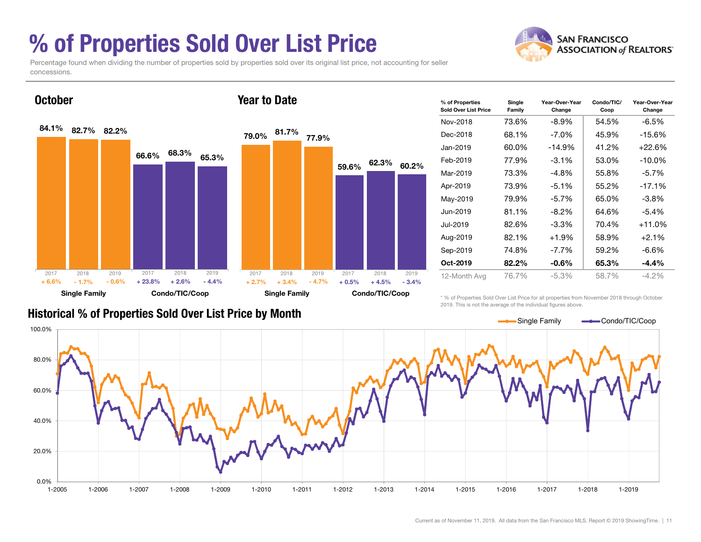## % of Properties Sold Over List Price

concessions.

Percentage found when dividing the number of properties sold by properties sold over its original list price, not accounting for seller





| % of Properties<br>Sold Over List Price | Single<br>Family | Year-Over-Year<br>Change | Condo/TIC/<br>Coop | Year-Over-Year<br>Change |  |
|-----------------------------------------|------------------|--------------------------|--------------------|--------------------------|--|
| Nov-2018                                | 73.6%            | $-8.9\%$                 | 54.5%              | $-6.5%$                  |  |
| Dec-2018                                | 68.1%            | $-7.0\%$                 | 45.9%              | $-15.6%$                 |  |
| Jan-2019                                | 60.0%            | -14.9%                   | 41.2%              | $+22.6%$                 |  |
| Feb-2019                                | 77.9%            | $-3.1\%$                 | 53.0%              | $-10.0\%$                |  |
| Mar-2019                                | 73.3%            | $-4.8\%$                 | 55.8%              | $-5.7\%$                 |  |
| Apr-2019                                | 73.9%            | $-5.1%$                  | 55.2%              | $-17.1%$                 |  |
| May-2019                                | 79.9%            | $-5.7\%$                 | 65.0%              | $-3.8\%$                 |  |
| Jun-2019                                | 81.1%            | $-8.2\%$                 | 64.6%              | $-5.4%$                  |  |
| Jul-2019                                | 82.6%            | $-3.3\%$                 | 70.4%              | $+11.0%$                 |  |
| Aug-2019                                | 82.1%            | $+1.9%$                  | 58.9%              | $+2.1%$                  |  |
| Sep-2019                                | 74.8%            | $-7.7\%$                 | 59.2%              | -6.6%                    |  |
| Oct-2019                                | 82.2%            | $-0.6\%$                 | 65.3%              | $-4.4%$                  |  |
| 12-Month Avg                            | 76.7%<br>-5.3%   |                          | 58.7%              | $-4.2\%$                 |  |

### Historical % of Properties Sold Over List Price by Month

\* % of Properties Sold Over List Price for all properties from November 2018 through October 2019. This is not the average of the individual figures above.

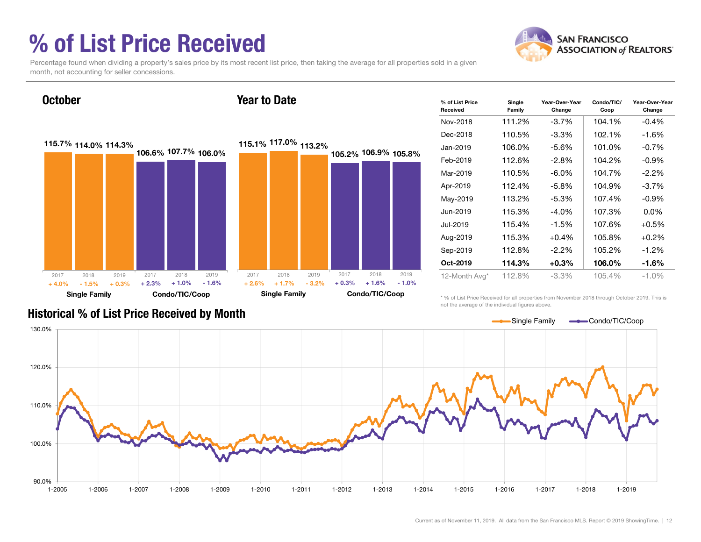## % of List Price Received

**October** 



Percentage found when dividing a property's sales price by its most recent list price, then taking the average for all properties sold in a given month, not accounting for seller concessions.

Year to Date



| % of List Price<br>Received | Single<br>Family | Year-Over-Year<br>Change | Condo/TIC/<br>Coop | Year-Over-Year<br>Change |
|-----------------------------|------------------|--------------------------|--------------------|--------------------------|
| Nov-2018                    | 111.2%           | $-3.7\%$                 | 104.1%             | $-0.4%$                  |
| Dec-2018                    | 110.5%           | $-3.3\%$                 | 102.1%             | -1.6%                    |
| Jan-2019                    | 106.0%           | -5.6%                    | 101.0%             | $-0.7%$                  |
| Feb-2019                    | 112.6%           | $-2.8%$                  | 104.2%             | $-0.9\%$                 |
| Mar-2019                    | 110.5%           | -6.0%                    | 104.7%             | $-2.2\%$                 |
| Apr-2019                    | 112.4%           | $-5.8\%$                 | 104.9%             | $-3.7\%$                 |
| May-2019                    | 113.2%           | $-5.3%$                  | 107.4%             | $-0.9%$                  |
| Jun-2019                    | 115.3%           | $-4.0\%$                 | 107.3%             | $0.0\%$                  |
| Jul-2019                    | 115.4%           | $-1.5\%$                 | 107.6%             | $+0.5%$                  |
| Aug-2019                    | 115.3%           | $+0.4%$                  | 105.8%             | $+0.2%$                  |
| Sep-2019                    | 112.8%           | $-2.2\%$                 | 105.2%             | $-1.2\%$                 |
| Oct-2019                    | 114.3%           | $+0.3%$                  | 106.0%             | $-1.6\%$                 |
| 12-Month Avg*               | 112.8%           | $-3.3\%$                 | 105.4%             | $-1.0\%$                 |

Historical % of List Price Received by Month

\* % of List Price Received for all properties from November 2018 through October 2019. This is not the average of the individual figures above.

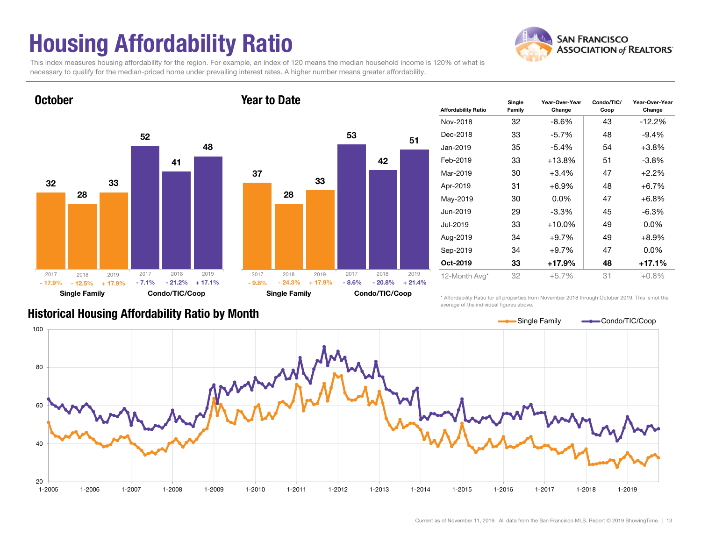## Housing Affordability Ratio

**SAN FRANCISCO ASSOCIATION of REALTORS'** 

This index measures housing affordability for the region. For example, an index of 120 means the median household income is 120% of what is necessary to qualify for the median-priced home under prevailing interest rates. A higher number means greater affordability.

Year to Date



**October** 



| <b>Affordability Ratio</b> | Single<br>Family | Year-Over-Year<br>Change | Condo/TIC/<br>Coop | Year-Over-Year<br>Change |
|----------------------------|------------------|--------------------------|--------------------|--------------------------|
| Nov-2018                   | 32               | $-8.6\%$                 | 43                 | $-12.2%$                 |
| Dec-2018                   | 33               | $-5.7\%$                 | 48                 | $-9.4%$                  |
| Jan-2019                   | 35               | $-5.4%$                  | 54                 | $+3.8%$                  |
| Feb-2019                   | 33               | +13.8%                   | 51                 | $-3.8\%$                 |
| Mar-2019                   | 30               | $+3.4%$                  | 47                 | $+2.2%$                  |
| Apr-2019                   | 31               | +6.9%                    | 48                 | $+6.7%$                  |
| May-2019                   | 30               | $0.0\%$                  | 47                 | $+6.8%$                  |
| Jun-2019                   | 29               | $-3.3\%$                 | 45                 | $-6.3%$                  |
| Jul-2019                   | 33               | $+10.0\%$                | 49                 | $0.0\%$                  |
| Aug-2019                   | 34               | $+9.7%$                  | 49                 | $+8.9%$                  |
| Sep-2019                   | 34               | $+9.7%$                  | 47                 | $0.0\%$                  |
| Oct-2019                   | 33               | $+17.9%$                 | 48                 | $+17.1%$                 |
| 12-Month Avg*              | 32               | $+5.7%$                  | 31                 | $+0.8%$                  |

### Historical Housing Affordability Ratio by Month

\* Affordability Ratio for all properties from November 2018 through October 2019. This is not the average of the individual figures above.

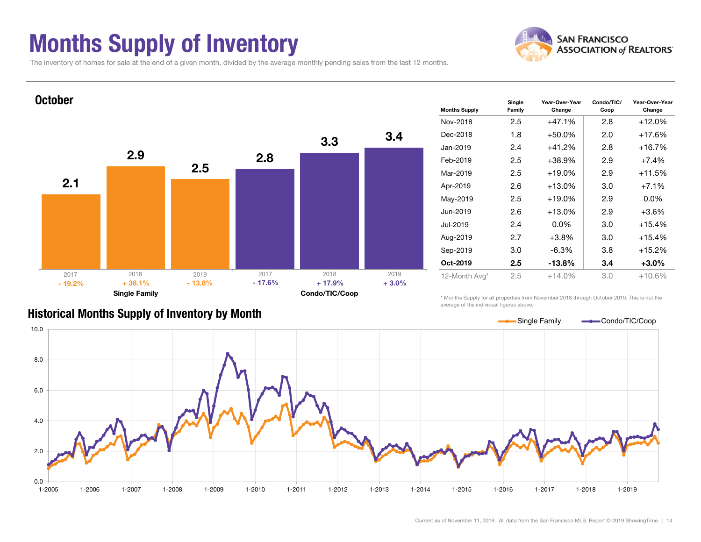## Months Supply of Inventory



The inventory of homes for sale at the end of a given month, divided by the average monthly pending sales from the last 12 months.



### Historical Months Supply of Inventory by Month

\* Months Supply for all properties from November 2018 through October 2019. This is not the average of the individual figures above.

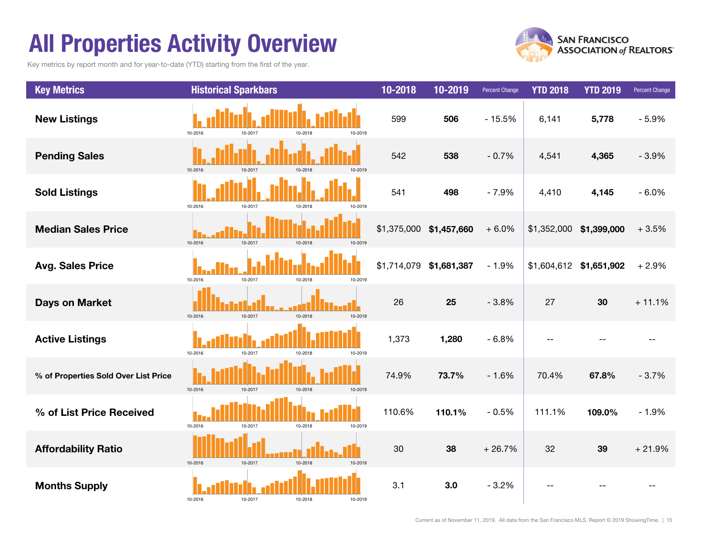## All Properties Activity Overview

Key metrics by report month and for year-to-date (YTD) starting from the first of the year.